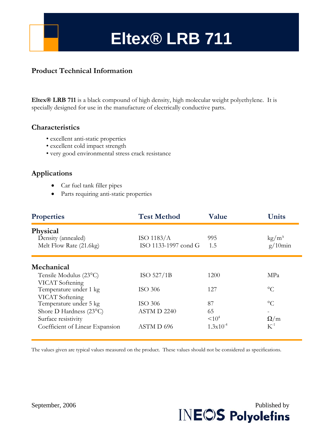# **Eltex® LRB 711**

## **Product Technical Information**

**Eltex® LRB 711** is a black compound of high density, high molecular weight polyethylene. It is specially designed for use in the manufacture of electrically conductive parts.

## **Characteristics**

- excellent anti-static properties
- excellent cold impact strength
- very good environmental stress crack resistance

## **Applications**

- Car fuel tank filler pipes
- Parts requiring anti-static properties

| <b>Properties</b>               | <b>Test Method</b>   | Value         | Units                  |
|---------------------------------|----------------------|---------------|------------------------|
| Physical                        |                      |               |                        |
| Density (annealed)              | ISO $1183/A$         | 995           | $\text{kg}/\text{m}^3$ |
| Melt Flow Rate (21.6kg)         | ISO 1133-1997 cond G | 1.5           | $g/10$ min             |
| Mechanical                      |                      |               |                        |
| Tensile Modulus (23°C)          | ISO 527/1B           | 1200          | MP <sub>a</sub>        |
| VICAT Softening                 |                      |               |                        |
| Temperature under 1 kg          | ISO 306              | 127           | $\rm ^{\circ}C$        |
| VICAT Softening                 |                      |               |                        |
| Temperature under 5 kg          | ISO 306              | 87            | $\rm ^{\circ}C$        |
| Shore D Hardness (23°C)         | ASTM D 2240          | 65            |                        |
| Surface resistivity             |                      | $10^{4}$      | $\Omega/m$             |
| Coefficient of Linear Expansion | ASTM D 696           | $1.3x10^{-4}$ | $K^{-1}$               |

The values given are typical values measured on the product. These values should not be considered as specifications.